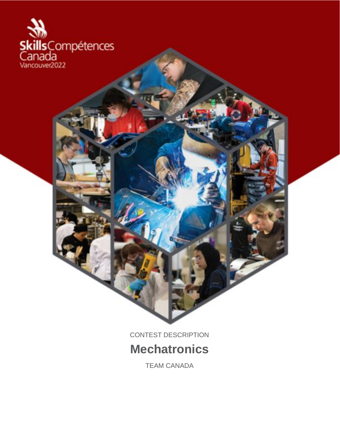

CONTEST DESCRIPTION **Mechatronics**

TEAM CANADA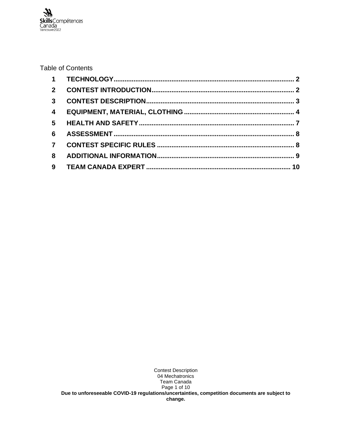#### Table of Contents

| $\overline{2}$          |  |
|-------------------------|--|
| $\mathbf{3}$            |  |
| $\overline{\mathbf{4}}$ |  |
| $5\overline{)}$         |  |
| 6                       |  |
| $\mathbf{7}$            |  |
| 8                       |  |
|                         |  |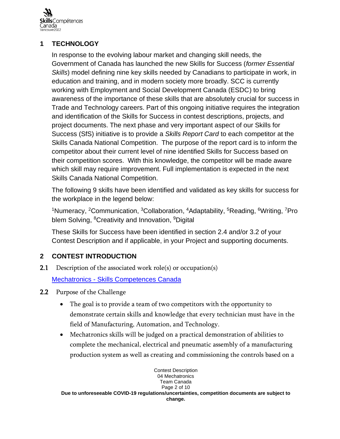

## <span id="page-2-0"></span>**1 TECHNOLOGY**

In response to the evolving labour market and changing skill needs, the Government of Canada has launched the new Skills for Success (*former Essential Skills*) model defining nine key skills needed by Canadians to participate in work, in education and training, and in modern society more broadly. SCC is currently working with Employment and Social Development Canada (ESDC) to bring awareness of the importance of these skills that are absolutely crucial for success in Trade and Technology careers. Part of this ongoing initiative requires the integration and identification of the Skills for Success in contest descriptions, projects, and project documents. The next phase and very important aspect of our Skills for Success (SfS) initiative is to provide a *Skills Report Card* to each competitor at the Skills Canada National Competition. The purpose of the report card is to inform the competitor about their current level of nine identified Skills for Success based on their competition scores. With this knowledge, the competitor will be made aware which skill may require improvement. Full implementation is expected in the next Skills Canada National Competition.

The following 9 skills have been identified and validated as key skills for success for the workplace in the legend below:

<sup>1</sup>Numeracy, <sup>2</sup>Communication, <sup>3</sup>Collaboration, <sup>4</sup>Adaptability, <sup>5</sup>Reading, <sup>6</sup>Writing, <sup>7</sup>Pro blem Solving, <sup>8</sup>Creativity and Innovation, <sup>9</sup>Digital

These Skills for Success have been identified in section 2.4 and/or 3.2 of your Contest Description and if applicable, in your Project and supporting documents.

# <span id="page-2-1"></span>**2 CONTEST INTRODUCTION**

**2.1** Description of the associated work role(s) or occupation(s)

Mechatronics - Skills [Competences](https://www.skillscompetencescanada.com/en/skill_area/mechatronics/) Canada

- 2.2 Purpose of the Challenge
	- The goal is to provide a team of two competitors with the opportunity to demonstrate certain skills and knowledge that every technician must have in the field of Manufacturing, Automation, and Technology.
	- Mechatronics skills will be judged on a practical demonstration of abilities to complete the mechanical, electrical and pneumatic assembly of a manufacturing production system as well as creating and commissioning the controls based on a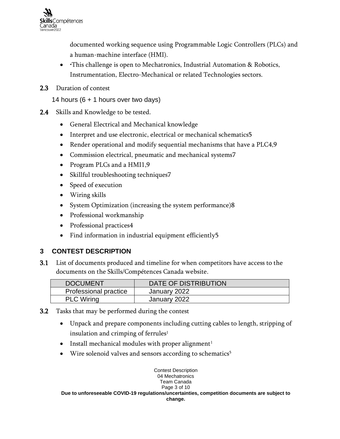

documented working sequence using Programmable Logic Controllers (PLCs) and a human-machine interface (HMI).

- •This challenge is open to Mechatronics, Industrial Automation & Robotics, Instrumentation, Electro-Mechanical or related Technologies sectors.
- 2.3 Duration of contest

14 hours (6 + 1 hours over two days)

- 2.4 Skills and Knowledge to be tested.
	- General Electrical and Mechanical knowledge
	- Interpret and use electronic, electrical or mechanical schematics5
	- Render operational and modify sequential mechanisms that have a PLC4,9
	- Commission electrical, pneumatic and mechanical systems7
	- Program PLCs and a HMI1,9
	- Skillful troubleshooting techniques7
	- Speed of execution
	- Wiring skills
	- System Optimization (increasing the system performance)8
	- Professional workmanship
	- Professional practices4
	- Find information in industrial equipment efficiently5

### <span id="page-3-0"></span>**3 CONTEST DESCRIPTION**

3.1 List of documents produced and timeline for when competitors have access to the documents on the Skills/Compétences Canada website.

| <b>DOCUMENT</b>       | DATE OF DISTRIBUTION |
|-----------------------|----------------------|
| Professional practice | January 2022         |
| <b>PLC Wiring</b>     | January 2022         |

- 3.2 Tasks that may be performed during the contest
	- Unpack and prepare components including cutting cables to length, stripping of insulation and crimping of ferrules $<sup>1</sup>$ </sup>
	- Install mechanical modules with proper alignment<sup>1</sup>
	- Wire solenoid valves and sensors according to schematics<sup>5</sup>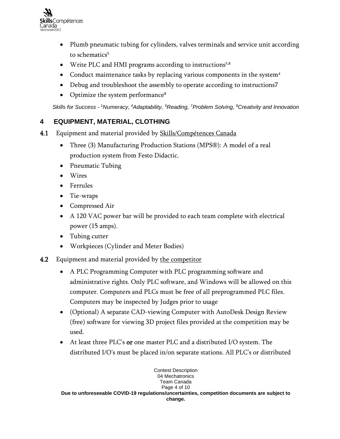

- Plumb pneumatic tubing for cylinders, valves terminals and service unit according to schematics<sup>5</sup>
- Write PLC and HMI programs according to instructions<sup>5,8</sup>
- Conduct maintenance tasks by replacing various components in the system<sup>4</sup>
- Debug and troubleshoot the assembly to operate according to instructions7
- Optimize the system performance<sup>8</sup>

<span id="page-4-0"></span>*Skills for Success - <sup>1</sup>Numeracy, <sup>4</sup>Adaptability, <sup>5</sup>Reading, <sup>7</sup>Problem Solving, <sup>8</sup>Creativity and Innovation*

### **4 EQUIPMENT, MATERIAL, CLOTHING**

- 4.1 Equipment and material provided by Skills/Compétences Canada
	- Three (3) Manufacturing Production Stations (MPS®): A model of a real production system from Festo Didactic.
	- Pneumatic Tubing
	- Wires
	- Ferrules
	- Tie-wraps
	- Compressed Air
	- A 120 VAC power bar will be provided to each team complete with electrical power (15 amps).
	- Tubing cutter
	- Workpieces (Cylinder and Meter Bodies)
- 4.2 Equipment and material provided by the competitor
	- A PLC Programming Computer with PLC programming software and administrative rights. Only PLC software, and Windows will be allowed on this computer. Computers and PLCs must be free of all preprogrammed PLC files. Computers may be inspected by Judges prior to usage
	- (Optional) A separate CAD-viewing Computer with AutoDesk Design Review (free) software for viewing 3D project files provided at the competition may be used.
	- At least three PLC's or one master PLC and a distributed I/O system. The distributed I/O's must be placed in/on separate stations. All PLC's or distributed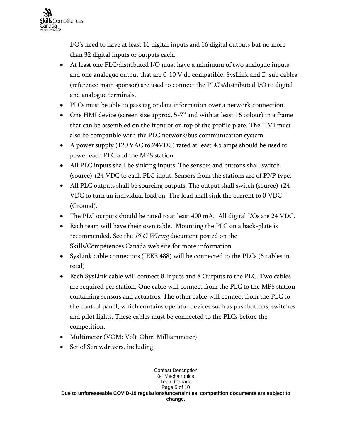

I/O's need to have at least 16 digital inputs and 16 digital outputs but no more than 32 digital inputs or outputs each.

- At least one PLC/distributed I/O must have a minimum of two analogue inputs and one analogue output that are 0-10 V dc compatible. SysLink and D-sub cables (reference main sponsor) are used to connect the PLC's/distributed I/O to digital and analogue terminals.
- PLCs must be able to pass tag or data information over a network connection.
- One HMI device (screen size approx. 5-7" and with at least 16 colour) in a frame that can be assembled on the front or on top of the profile plate. The HMI must also be compatible with the PLC network/bus communication system.
- A power supply (120 VAC to 24VDC) rated at least 4.5 amps should be used to power each PLC and the MPS station.
- All PLC inputs shall be sinking inputs. The sensors and buttons shall switch (source) +24 VDC to each PLC input. Sensors from the stations are of PNP type.
- All PLC outputs shall be sourcing outputs. The output shall switch (source) +24 VDC to turn an individual load on. The load shall sink the current to 0 VDC (Ground).
- The PLC outputs should be rated to at least 400 mA. All digital I/Os are 24 VDC.
- Each team will have their own table. Mounting the PLC on a back-plate is recommended. See the PLC Wiring document posted on the Skills/Compétences Canada web site for more information
- SysLink cable connectors (IEEE 488) will be connected to the PLCs (6 cables in total)
- Each SysLink cable will connect 8 Inputs and 8 Outputs to the PLC. Two cables are required per station. One cable will connect from the PLC to the MPS station containing sensors and actuators. The other cable will connect from the PLC to the control panel, which contains operator devices such as pushbuttons, switches and pilot lights. These cables must be connected to the PLCs before the competition.
- Multimeter (VOM: Volt-Ohm-Milliammeter)
- Set of Screwdrivers, including: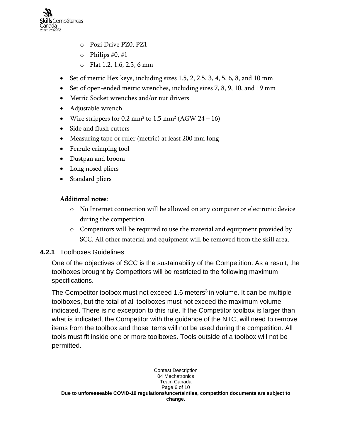

- o Pozi Drive PZ0, PZ1
- $\circ$  Philips #0, #1
- o Flat 1.2, 1.6, 2.5, 6 mm
- Set of metric Hex keys, including sizes  $1.5, 2, 2.5, 3, 4, 5, 6, 8$ , and  $10 \text{ mm}$
- Set of open-ended metric wrenches, including sizes 7, 8, 9, 10, and 19 mm
- Metric Socket wrenches and/or nut drivers
- Adjustable wrench
- Wire strippers for  $0.2 \text{ mm}^2$  to  $1.5 \text{ mm}^2$  (AGW  $24 16$ )
- Side and flush cutters
- Measuring tape or ruler (metric) at least 200 mm long
- Ferrule crimping tool
- Dustpan and broom
- Long nosed pliers
- Standard pliers

## Additional notes:

- o No Internet connection will be allowed on any computer or electronic device during the competition.
- o Competitors will be required to use the material and equipment provided by SCC. All other material and equipment will be removed from the skill area.

### **4.2.1** Toolboxes Guidelines

One of the objectives of SCC is the sustainability of the Competition. As a result, the toolboxes brought by Competitors will be restricted to the following maximum specifications.

The Competitor toolbox must not exceed 1.6 meters<sup>3</sup> in volume. It can be multiple toolboxes, but the total of all toolboxes must not exceed the maximum volume indicated. There is no exception to this rule. If the Competitor toolbox is larger than what is indicated, the Competitor with the guidance of the NTC, will need to remove items from the toolbox and those items will not be used during the competition. All tools must fit inside one or more toolboxes. Tools outside of a toolbox will not be permitted.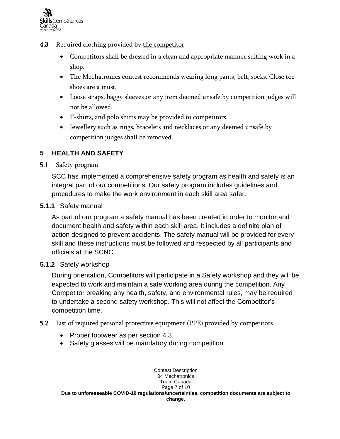

- 4.3 Required clothing provided by the competitor
	- Competitors shall be dressed in a clean and appropriate manner suiting work in a shop.
	- The Mechatronics contest recommends wearing long pants, belt, socks. Close toe shoes are a must.
	- Loose straps, baggy sleeves or any item deemed unsafe by competition judges will not be allowed.
	- T-shirts, and polo shirts may be provided to competitors.
	- Jewellery such as rings, bracelets and necklaces or any deemed unsafe by competition judges shall be removed.

## <span id="page-7-0"></span>**5 HEALTH AND SAFETY**

### 5.1 Safety program

SCC has implemented a comprehensive safety program as health and safety is an integral part of our competitions. Our safety program includes guidelines and procedures to make the work environment in each skill area safer.

#### **5.1.1** Safety manual

As part of our program a safety manual has been created in order to monitor and document health and safety within each skill area. It includes a definite plan of action designed to prevent accidents. The safety manual will be provided for every skill and these instructions must be followed and respected by all participants and officials at the SCNC.

#### **5.1.2** Safety workshop

During orientation, Competitors will participate in a Safety workshop and they will be expected to work and maintain a safe working area during the competition. Any Competitor breaking any health, safety, and environmental rules, may be required to undertake a second safety workshop. This will not affect the Competitor's competition time.

### **5.2** List of required personal protective equipment (PPE) provided by competitors

- Proper footwear as per section 4.3.
- Safety glasses will be mandatory during competition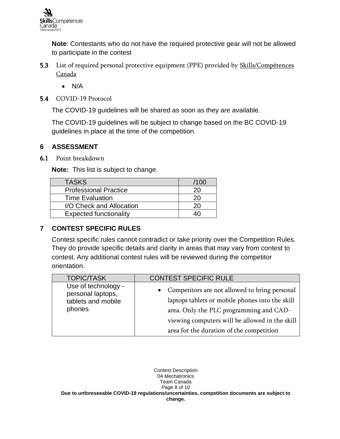**Note**: Contestants who do not have the required protective gear will not be allowed to participate in the contest

- 5.3 List of required personal protective equipment (PPE) provided by Skills/Compétences Canada
	- N/A
- 5.4 COVID-19 Protocol

The COVID-19 guidelines will be shared as soon as they are available.

The COVID-19 guidelines will be subject to change based on the BC COVID-19 guidelines in place at the time of the competition.

### <span id="page-8-0"></span>**6 ASSESSMENT**

6.1 Point breakdown

**Note:** This list is subject to change.

| <b>TASKS</b>                  | /100 |
|-------------------------------|------|
| <b>Professional Practice</b>  | 20   |
| <b>Time Evaluation</b>        | 20   |
| I/O Check and Allocation      | 20   |
| <b>Expected functionality</b> |      |

# <span id="page-8-1"></span>**7 CONTEST SPECIFIC RULES**

Contest specific rules cannot contradict or take priority over the Competition Rules. They do provide specific details and clarity in areas that may vary from contest to contest. Any additional contest rules will be reviewed during the competitor orientation.

| <b>TOPIC/TASK</b>                                                        | <b>CONTEST SPECIFIC RULE</b>                                                                                                                                                                                                              |
|--------------------------------------------------------------------------|-------------------------------------------------------------------------------------------------------------------------------------------------------------------------------------------------------------------------------------------|
| Use of technology -<br>personal laptops,<br>tablets and mobile<br>phones | Competitors are not allowed to bring personal<br>laptops tablets or mobile phones into the skill<br>area. Only the PLC programming and CAD-<br>viewing computers will be allowed in the skill<br>area for the duration of the competition |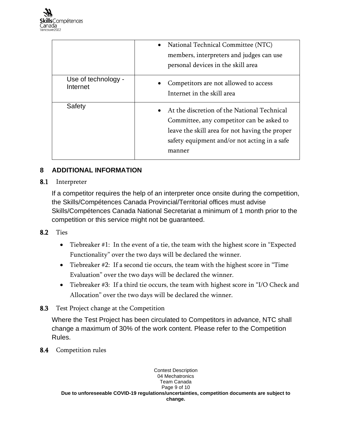|                                 | National Technical Committee (NTC)<br>$\bullet$<br>members, interpreters and judges can use<br>personal devices in the skill area                                                                    |
|---------------------------------|------------------------------------------------------------------------------------------------------------------------------------------------------------------------------------------------------|
| Use of technology -<br>Internet | Competitors are not allowed to access<br>Internet in the skill area                                                                                                                                  |
| Safety                          | At the discretion of the National Technical<br>Committee, any competitor can be asked to<br>leave the skill area for not having the proper<br>safety equipment and/or not acting in a safe<br>manner |

# <span id="page-9-0"></span>**8 ADDITIONAL INFORMATION**

### 8.1 Interpreter

If a competitor requires the help of an interpreter once onsite during the competition, the Skills/Compétences Canada Provincial/Territorial offices must advise Skills/Compétences Canada National Secretariat a minimum of 1 month prior to the competition or this service might not be guaranteed.

#### 8.2 Ties

- Tiebreaker #1: In the event of a tie, the team with the highest score in "Expected Functionality" over the two days will be declared the winner.
- Tiebreaker #2: If a second tie occurs, the team with the highest score in "Time Evaluation" over the two days will be declared the winner.
- Tiebreaker #3: If a third tie occurs, the team with highest score in "I/O Check and Allocation" over the two days will be declared the winner.
- 8.3 Test Project change at the Competition

Where the Test Project has been circulated to Competitors in advance, NTC shall change a maximum of 30% of the work content. Please refer to the Competition Rules.

8.4 Competition rules